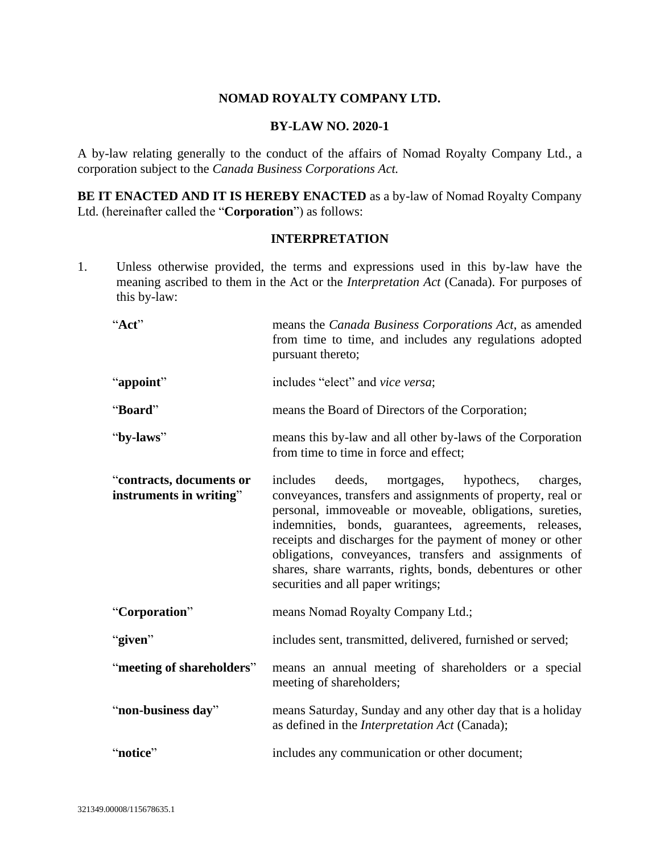# **NOMAD ROYALTY COMPANY LTD.**

### **BY-LAW NO. 2020-1**

A by-law relating generally to the conduct of the affairs of Nomad Royalty Company Ltd., a corporation subject to the *Canada Business Corporations Act.*

**BE IT ENACTED AND IT IS HEREBY ENACTED** as a by-law of Nomad Royalty Company Ltd. (hereinafter called the "**Corporation**") as follows:

### **INTERPRETATION**

1. Unless otherwise provided, the terms and expressions used in this by-law have the meaning ascribed to them in the Act or the *Interpretation Act* (Canada). For purposes of this by-law:

"**Act**" means the *Canada Business Corporations Act*, as amended from time to time, and includes any regulations adopted pursuant thereto; "**appoint**" includes "elect" and *vice versa*; "**Board**" means the Board of Directors of the Corporation; "**by-laws**" means this by-law and all other by-laws of the Corporation from time to time in force and effect; "**contracts, documents or instruments in writing**" includes deeds, mortgages, hypothecs, charges, conveyances, transfers and assignments of property, real or personal, immoveable or moveable, obligations, sureties, indemnities, bonds, guarantees, agreements, releases, receipts and discharges for the payment of money or other obligations, conveyances, transfers and assignments of shares, share warrants, rights, bonds, debentures or other securities and all paper writings; "**Corporation**" means Nomad Royalty Company Ltd.; "**given**" includes sent, transmitted, delivered, furnished or served; "**meeting of shareholders**" means an annual meeting of shareholders or a special meeting of shareholders; "**non-business day**" means Saturday, Sunday and any other day that is a holiday as defined in the *Interpretation Act* (Canada); "**notice**" includes any communication or other document;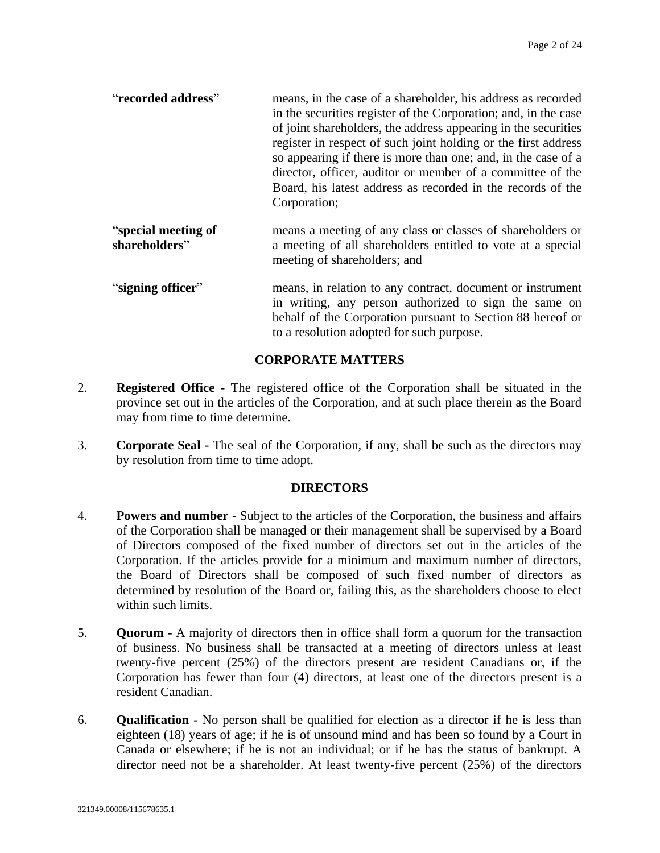| "recorded address" | means, in the case of a shareholder, his address as recorded<br>in the securities register of the Corporation; and, in the case<br>of joint shareholders, the address appearing in the securities<br>register in respect of such joint holding or the first address<br>so appearing if there is more than one; and, in the case of a<br>director, officer, auditor or member of a committee of the<br>Board, his latest address as recorded in the records of the |
|--------------------|-------------------------------------------------------------------------------------------------------------------------------------------------------------------------------------------------------------------------------------------------------------------------------------------------------------------------------------------------------------------------------------------------------------------------------------------------------------------|
|                    | Corporation;                                                                                                                                                                                                                                                                                                                                                                                                                                                      |

- "**special meeting of shareholders**" means a meeting of any class or classes of shareholders or a meeting of all shareholders entitled to vote at a special meeting of shareholders; and
- "**signing officer**" means, in relation to any contract, document or instrument in writing, any person authorized to sign the same on behalf of the Corporation pursuant to Section [88](#page-23-0) hereof or to a resolution adopted for such purpose.

# **CORPORATE MATTERS**

- 2. **Registered Office -** The registered office of the Corporation shall be situated in the province set out in the articles of the Corporation, and at such place therein as the Board may from time to time determine.
- 3. **Corporate Seal -** The seal of the Corporation, if any, shall be such as the directors may by resolution from time to time adopt.

## **DIRECTORS**

- 4. **Powers and number -** Subject to the articles of the Corporation, the business and affairs of the Corporation shall be managed or their management shall be supervised by a Board of Directors composed of the fixed number of directors set out in the articles of the Corporation. If the articles provide for a minimum and maximum number of directors, the Board of Directors shall be composed of such fixed number of directors as determined by resolution of the Board or, failing this, as the shareholders choose to elect within such limits.
- 5. **Quorum -** A majority of directors then in office shall form a quorum for the transaction of business. No business shall be transacted at a meeting of directors unless at least twenty-five percent (25%) of the directors present are resident Canadians or, if the Corporation has fewer than four (4) directors, at least one of the directors present is a resident Canadian.
- 6. **Qualification -** No person shall be qualified for election as a director if he is less than eighteen (18) years of age; if he is of unsound mind and has been so found by a Court in Canada or elsewhere; if he is not an individual; or if he has the status of bankrupt. A director need not be a shareholder. At least twenty-five percent (25%) of the directors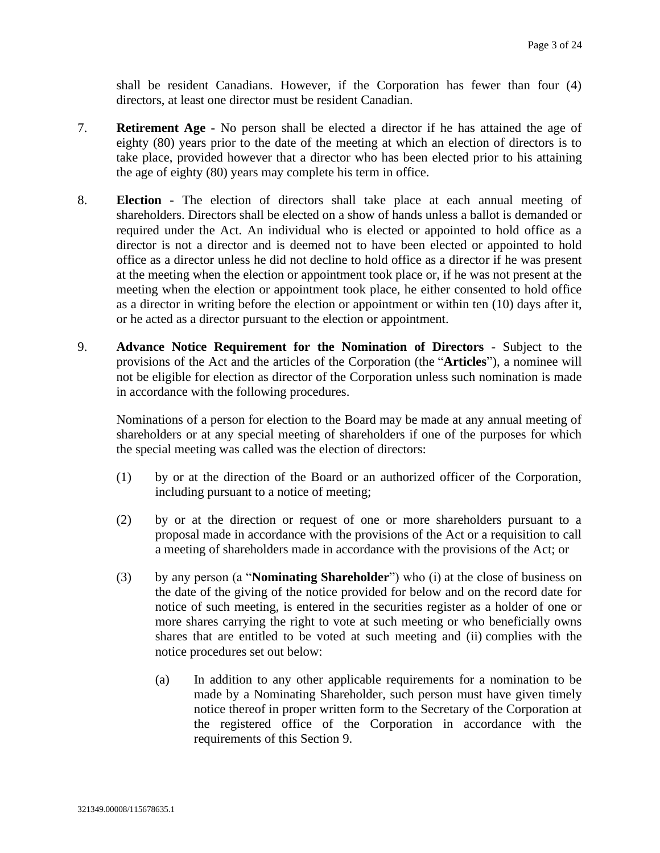shall be resident Canadians. However, if the Corporation has fewer than four (4) directors, at least one director must be resident Canadian.

- 7. **Retirement Age -** No person shall be elected a director if he has attained the age of eighty (80) years prior to the date of the meeting at which an election of directors is to take place, provided however that a director who has been elected prior to his attaining the age of eighty (80) years may complete his term in office.
- 8. **Election -** The election of directors shall take place at each annual meeting of shareholders. Directors shall be elected on a show of hands unless a ballot is demanded or required under the Act. An individual who is elected or appointed to hold office as a director is not a director and is deemed not to have been elected or appointed to hold office as a director unless he did not decline to hold office as a director if he was present at the meeting when the election or appointment took place or, if he was not present at the meeting when the election or appointment took place, he either consented to hold office as a director in writing before the election or appointment or within ten (10) days after it, or he acted as a director pursuant to the election or appointment.
- <span id="page-2-0"></span>9. **Advance Notice Requirement for the Nomination of Directors** - Subject to the provisions of the Act and the articles of the Corporation (the "**Articles**"), a nominee will not be eligible for election as director of the Corporation unless such nomination is made in accordance with the following procedures.

Nominations of a person for election to the Board may be made at any annual meeting of shareholders or at any special meeting of shareholders if one of the purposes for which the special meeting was called was the election of directors:

- (1) by or at the direction of the Board or an authorized officer of the Corporation, including pursuant to a notice of meeting;
- (2) by or at the direction or request of one or more shareholders pursuant to a proposal made in accordance with the provisions of the Act or a requisition to call a meeting of shareholders made in accordance with the provisions of the Act; or
- <span id="page-2-1"></span>(3) by any person (a "**Nominating Shareholder**") who (i) at the close of business on the date of the giving of the notice provided for below and on the record date for notice of such meeting, is entered in the securities register as a holder of one or more shares carrying the right to vote at such meeting or who beneficially owns shares that are entitled to be voted at such meeting and (ii) complies with the notice procedures set out below:
	- (a) In addition to any other applicable requirements for a nomination to be made by a Nominating Shareholder, such person must have given timely notice thereof in proper written form to the Secretary of the Corporation at the registered office of the Corporation in accordance with the requirements of this Section [9.](#page-2-0)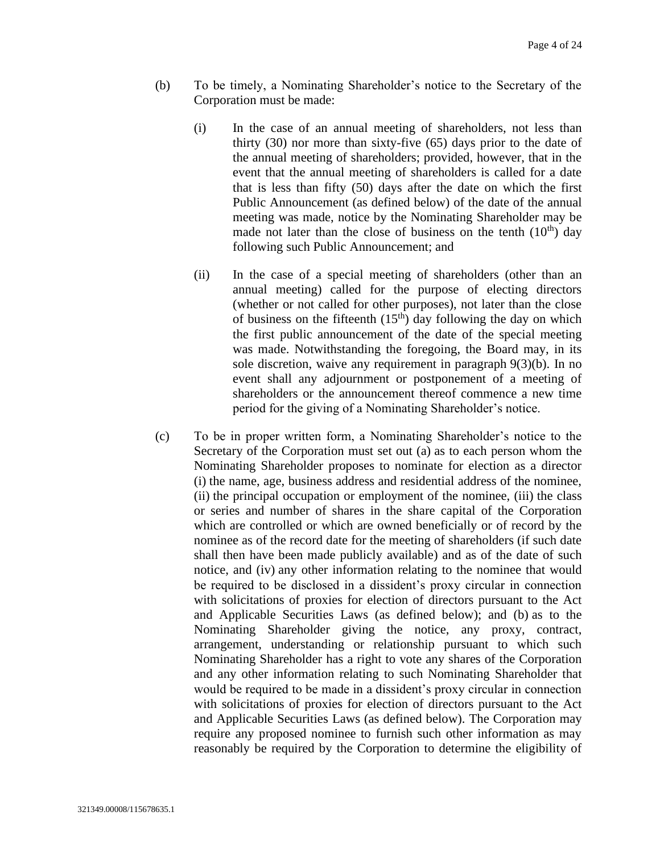- <span id="page-3-0"></span>(b) To be timely, a Nominating Shareholder's notice to the Secretary of the Corporation must be made:
	- (i) In the case of an annual meeting of shareholders, not less than thirty (30) nor more than sixty-five (65) days prior to the date of the annual meeting of shareholders; provided, however, that in the event that the annual meeting of shareholders is called for a date that is less than fifty (50) days after the date on which the first Public Announcement (as defined below) of the date of the annual meeting was made, notice by the Nominating Shareholder may be made not later than the close of business on the tenth  $(10<sup>th</sup>)$  day following such Public Announcement; and
	- (ii) In the case of a special meeting of shareholders (other than an annual meeting) called for the purpose of electing directors (whether or not called for other purposes), not later than the close of business on the fifteenth  $(15<sup>th</sup>)$  day following the day on which the first public announcement of the date of the special meeting was made. Notwithstanding the foregoing, the Board may, in its sole discretion, waive any requirement in paragraph [9](#page-2-0)[\(3\)](#page-2-1)[\(b\).](#page-3-0) In no event shall any adjournment or postponement of a meeting of shareholders or the announcement thereof commence a new time period for the giving of a Nominating Shareholder's notice.
- (c) To be in proper written form, a Nominating Shareholder's notice to the Secretary of the Corporation must set out (a) as to each person whom the Nominating Shareholder proposes to nominate for election as a director (i) the name, age, business address and residential address of the nominee, (ii) the principal occupation or employment of the nominee, (iii) the class or series and number of shares in the share capital of the Corporation which are controlled or which are owned beneficially or of record by the nominee as of the record date for the meeting of shareholders (if such date shall then have been made publicly available) and as of the date of such notice, and (iv) any other information relating to the nominee that would be required to be disclosed in a dissident's proxy circular in connection with solicitations of proxies for election of directors pursuant to the Act and Applicable Securities Laws (as defined below); and (b) as to the Nominating Shareholder giving the notice, any proxy, contract, arrangement, understanding or relationship pursuant to which such Nominating Shareholder has a right to vote any shares of the Corporation and any other information relating to such Nominating Shareholder that would be required to be made in a dissident's proxy circular in connection with solicitations of proxies for election of directors pursuant to the Act and Applicable Securities Laws (as defined below). The Corporation may require any proposed nominee to furnish such other information as may reasonably be required by the Corporation to determine the eligibility of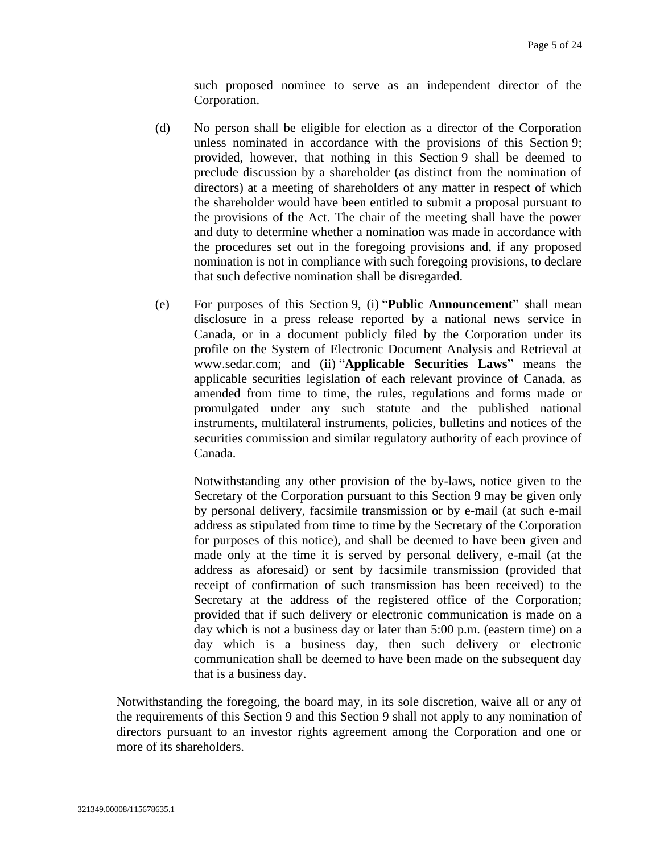such proposed nominee to serve as an independent director of the Corporation.

- (d) No person shall be eligible for election as a director of the Corporation unless nominated in accordance with the provisions of this Section [9;](#page-2-0) provided, however, that nothing in this Section [9](#page-2-0) shall be deemed to preclude discussion by a shareholder (as distinct from the nomination of directors) at a meeting of shareholders of any matter in respect of which the shareholder would have been entitled to submit a proposal pursuant to the provisions of the Act. The chair of the meeting shall have the power and duty to determine whether a nomination was made in accordance with the procedures set out in the foregoing provisions and, if any proposed nomination is not in compliance with such foregoing provisions, to declare that such defective nomination shall be disregarded.
- (e) For purposes of this Section [9,](#page-2-0) (i) "**Public Announcement**" shall mean disclosure in a press release reported by a national news service in Canada, or in a document publicly filed by the Corporation under its profile on the System of Electronic Document Analysis and Retrieval at www.sedar.com; and (ii) "**Applicable Securities Laws**" means the applicable securities legislation of each relevant province of Canada, as amended from time to time, the rules, regulations and forms made or promulgated under any such statute and the published national instruments, multilateral instruments, policies, bulletins and notices of the securities commission and similar regulatory authority of each province of Canada.

Notwithstanding any other provision of the by-laws, notice given to the Secretary of the Corporation pursuant to this Section [9](#page-2-0) may be given only by personal delivery, facsimile transmission or by e-mail (at such e-mail address as stipulated from time to time by the Secretary of the Corporation for purposes of this notice), and shall be deemed to have been given and made only at the time it is served by personal delivery, e-mail (at the address as aforesaid) or sent by facsimile transmission (provided that receipt of confirmation of such transmission has been received) to the Secretary at the address of the registered office of the Corporation; provided that if such delivery or electronic communication is made on a day which is not a business day or later than 5:00 p.m. (eastern time) on a day which is a business day, then such delivery or electronic communication shall be deemed to have been made on the subsequent day that is a business day.

Notwithstanding the foregoing, the board may, in its sole discretion, waive all or any of the requirements of this Section [9](#page-2-0) and this Section [9](#page-2-0) shall not apply to any nomination of directors pursuant to an investor rights agreement among the Corporation and one or more of its shareholders.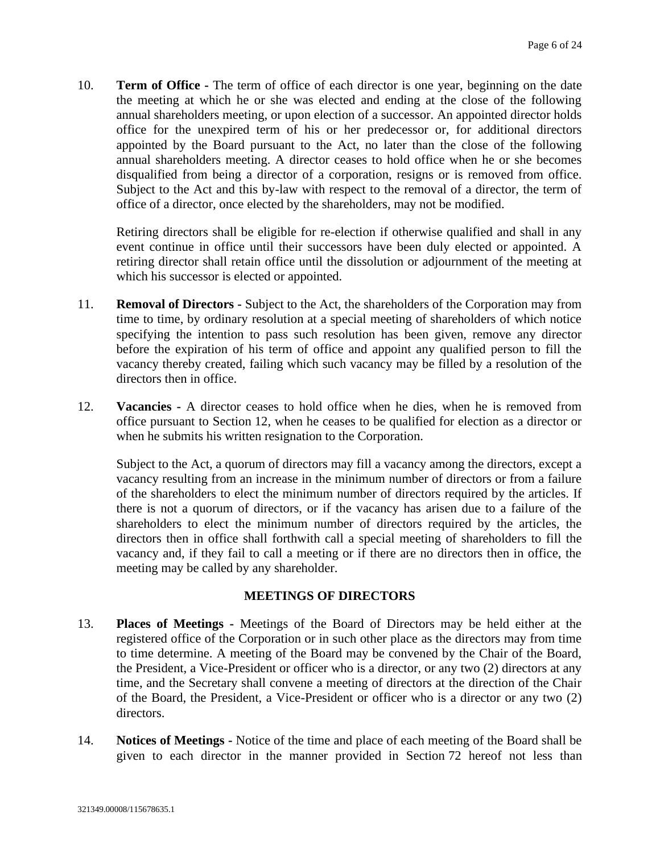10. **Term of Office -** The term of office of each director is one year, beginning on the date the meeting at which he or she was elected and ending at the close of the following annual shareholders meeting, or upon election of a successor. An appointed director holds office for the unexpired term of his or her predecessor or, for additional directors appointed by the Board pursuant to the Act, no later than the close of the following annual shareholders meeting. A director ceases to hold office when he or she becomes disqualified from being a director of a corporation, resigns or is removed from office. Subject to the Act and this by-law with respect to the removal of a director, the term of office of a director, once elected by the shareholders, may not be modified.

Retiring directors shall be eligible for re-election if otherwise qualified and shall in any event continue in office until their successors have been duly elected or appointed. A retiring director shall retain office until the dissolution or adjournment of the meeting at which his successor is elected or appointed.

- 11. **Removal of Directors -** Subject to the Act, the shareholders of the Corporation may from time to time, by ordinary resolution at a special meeting of shareholders of which notice specifying the intention to pass such resolution has been given, remove any director before the expiration of his term of office and appoint any qualified person to fill the vacancy thereby created, failing which such vacancy may be filled by a resolution of the directors then in office.
- <span id="page-5-0"></span>12. **Vacancies -** A director ceases to hold office when he dies, when he is removed from office pursuant to Section [12,](#page-5-0) when he ceases to be qualified for election as a director or when he submits his written resignation to the Corporation.

Subject to the Act, a quorum of directors may fill a vacancy among the directors, except a vacancy resulting from an increase in the minimum number of directors or from a failure of the shareholders to elect the minimum number of directors required by the articles. If there is not a quorum of directors, or if the vacancy has arisen due to a failure of the shareholders to elect the minimum number of directors required by the articles, the directors then in office shall forthwith call a special meeting of shareholders to fill the vacancy and, if they fail to call a meeting or if there are no directors then in office, the meeting may be called by any shareholder.

# **MEETINGS OF DIRECTORS**

- 13. **Places of Meetings -** Meetings of the Board of Directors may be held either at the registered office of the Corporation or in such other place as the directors may from time to time determine. A meeting of the Board may be convened by the Chair of the Board, the President, a Vice-President or officer who is a director, or any two (2) directors at any time, and the Secretary shall convene a meeting of directors at the direction of the Chair of the Board, the President, a Vice-President or officer who is a director or any two (2) directors.
- 14. **Notices of Meetings -** Notice of the time and place of each meeting of the Board shall be given to each director in the manner provided in Section [72](#page-20-0) hereof not less than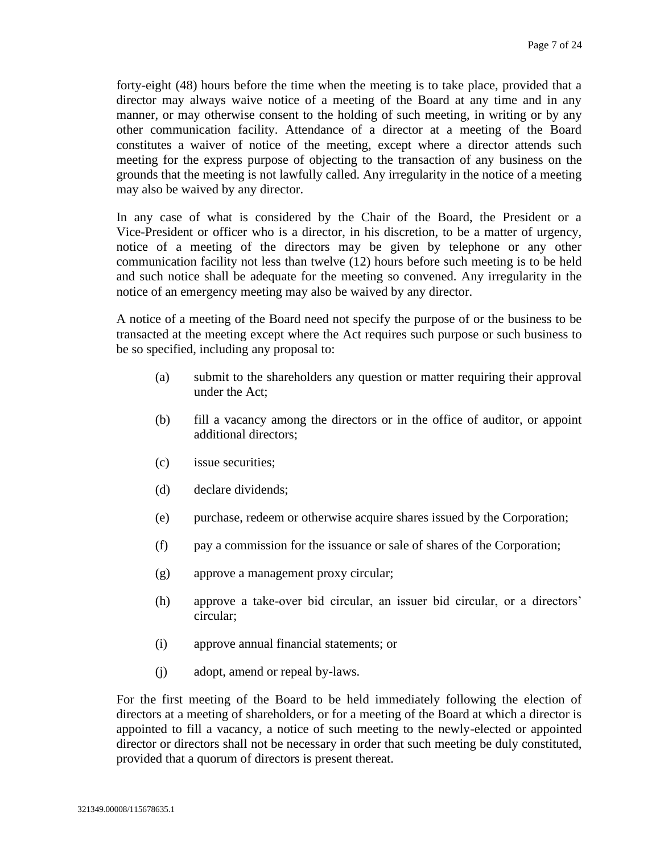forty-eight (48) hours before the time when the meeting is to take place, provided that a director may always waive notice of a meeting of the Board at any time and in any manner, or may otherwise consent to the holding of such meeting, in writing or by any other communication facility. Attendance of a director at a meeting of the Board constitutes a waiver of notice of the meeting, except where a director attends such meeting for the express purpose of objecting to the transaction of any business on the grounds that the meeting is not lawfully called. Any irregularity in the notice of a meeting may also be waived by any director.

In any case of what is considered by the Chair of the Board, the President or a Vice-President or officer who is a director, in his discretion, to be a matter of urgency, notice of a meeting of the directors may be given by telephone or any other communication facility not less than twelve (12) hours before such meeting is to be held and such notice shall be adequate for the meeting so convened. Any irregularity in the notice of an emergency meeting may also be waived by any director.

A notice of a meeting of the Board need not specify the purpose of or the business to be transacted at the meeting except where the Act requires such purpose or such business to be so specified, including any proposal to:

- (a) submit to the shareholders any question or matter requiring their approval under the Act;
- (b) fill a vacancy among the directors or in the office of auditor, or appoint additional directors;
- (c) issue securities;
- (d) declare dividends;
- (e) purchase, redeem or otherwise acquire shares issued by the Corporation;
- (f) pay a commission for the issuance or sale of shares of the Corporation;
- (g) approve a management proxy circular;
- (h) approve a take-over bid circular, an issuer bid circular, or a directors' circular;
- (i) approve annual financial statements; or
- (j) adopt, amend or repeal by-laws.

For the first meeting of the Board to be held immediately following the election of directors at a meeting of shareholders, or for a meeting of the Board at which a director is appointed to fill a vacancy, a notice of such meeting to the newly-elected or appointed director or directors shall not be necessary in order that such meeting be duly constituted, provided that a quorum of directors is present thereat.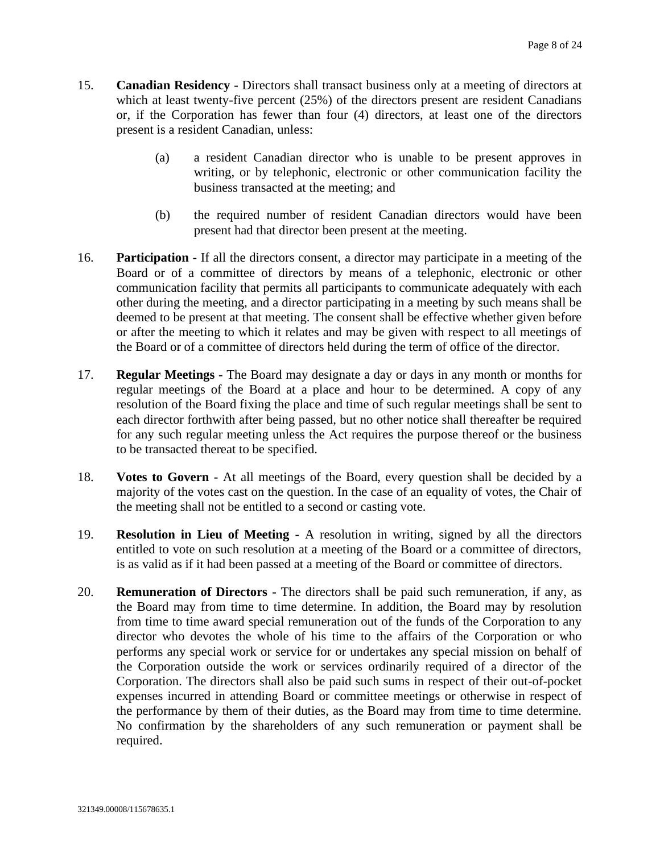- 15. **Canadian Residency -** Directors shall transact business only at a meeting of directors at which at least twenty-five percent (25%) of the directors present are resident Canadians or, if the Corporation has fewer than four (4) directors, at least one of the directors present is a resident Canadian, unless:
	- (a) a resident Canadian director who is unable to be present approves in writing, or by telephonic, electronic or other communication facility the business transacted at the meeting; and
	- (b) the required number of resident Canadian directors would have been present had that director been present at the meeting.
- 16. **Participation -** If all the directors consent, a director may participate in a meeting of the Board or of a committee of directors by means of a telephonic, electronic or other communication facility that permits all participants to communicate adequately with each other during the meeting, and a director participating in a meeting by such means shall be deemed to be present at that meeting. The consent shall be effective whether given before or after the meeting to which it relates and may be given with respect to all meetings of the Board or of a committee of directors held during the term of office of the director.
- 17. **Regular Meetings -** The Board may designate a day or days in any month or months for regular meetings of the Board at a place and hour to be determined. A copy of any resolution of the Board fixing the place and time of such regular meetings shall be sent to each director forthwith after being passed, but no other notice shall thereafter be required for any such regular meeting unless the Act requires the purpose thereof or the business to be transacted thereat to be specified.
- 18. **Votes to Govern -** At all meetings of the Board, every question shall be decided by a majority of the votes cast on the question. In the case of an equality of votes, the Chair of the meeting shall not be entitled to a second or casting vote.
- 19. **Resolution in Lieu of Meeting -** A resolution in writing, signed by all the directors entitled to vote on such resolution at a meeting of the Board or a committee of directors, is as valid as if it had been passed at a meeting of the Board or committee of directors.
- 20. **Remuneration of Directors -** The directors shall be paid such remuneration, if any, as the Board may from time to time determine. In addition, the Board may by resolution from time to time award special remuneration out of the funds of the Corporation to any director who devotes the whole of his time to the affairs of the Corporation or who performs any special work or service for or undertakes any special mission on behalf of the Corporation outside the work or services ordinarily required of a director of the Corporation. The directors shall also be paid such sums in respect of their out-of-pocket expenses incurred in attending Board or committee meetings or otherwise in respect of the performance by them of their duties, as the Board may from time to time determine. No confirmation by the shareholders of any such remuneration or payment shall be required.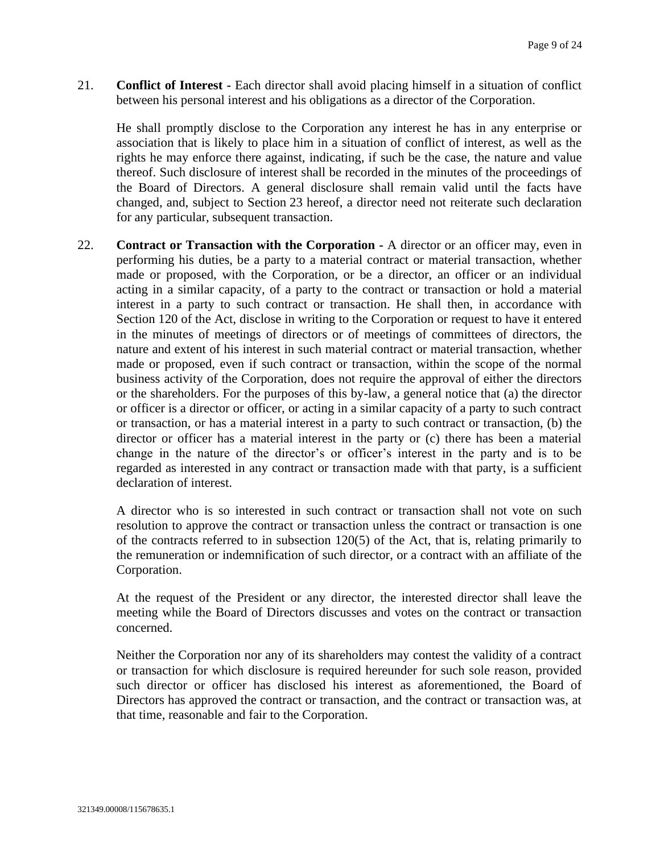21. **Conflict of Interest -** Each director shall avoid placing himself in a situation of conflict between his personal interest and his obligations as a director of the Corporation.

He shall promptly disclose to the Corporation any interest he has in any enterprise or association that is likely to place him in a situation of conflict of interest, as well as the rights he may enforce there against, indicating, if such be the case, the nature and value thereof. Such disclosure of interest shall be recorded in the minutes of the proceedings of the Board of Directors. A general disclosure shall remain valid until the facts have changed, and, subject to Section [23](#page-9-0) hereof, a director need not reiterate such declaration for any particular, subsequent transaction.

22. **Contract or Transaction with the Corporation -** A director or an officer may, even in performing his duties, be a party to a material contract or material transaction, whether made or proposed, with the Corporation, or be a director, an officer or an individual acting in a similar capacity, of a party to the contract or transaction or hold a material interest in a party to such contract or transaction. He shall then, in accordance with Section 120 of the Act, disclose in writing to the Corporation or request to have it entered in the minutes of meetings of directors or of meetings of committees of directors, the nature and extent of his interest in such material contract or material transaction, whether made or proposed, even if such contract or transaction, within the scope of the normal business activity of the Corporation, does not require the approval of either the directors or the shareholders. For the purposes of this by-law, a general notice that (a) the director or officer is a director or officer, or acting in a similar capacity of a party to such contract or transaction, or has a material interest in a party to such contract or transaction, (b) the director or officer has a material interest in the party or (c) there has been a material change in the nature of the director's or officer's interest in the party and is to be regarded as interested in any contract or transaction made with that party, is a sufficient declaration of interest.

A director who is so interested in such contract or transaction shall not vote on such resolution to approve the contract or transaction unless the contract or transaction is one of the contracts referred to in subsection 120(5) of the Act, that is, relating primarily to the remuneration or indemnification of such director, or a contract with an affiliate of the Corporation.

At the request of the President or any director, the interested director shall leave the meeting while the Board of Directors discusses and votes on the contract or transaction concerned.

Neither the Corporation nor any of its shareholders may contest the validity of a contract or transaction for which disclosure is required hereunder for such sole reason, provided such director or officer has disclosed his interest as aforementioned, the Board of Directors has approved the contract or transaction, and the contract or transaction was, at that time, reasonable and fair to the Corporation.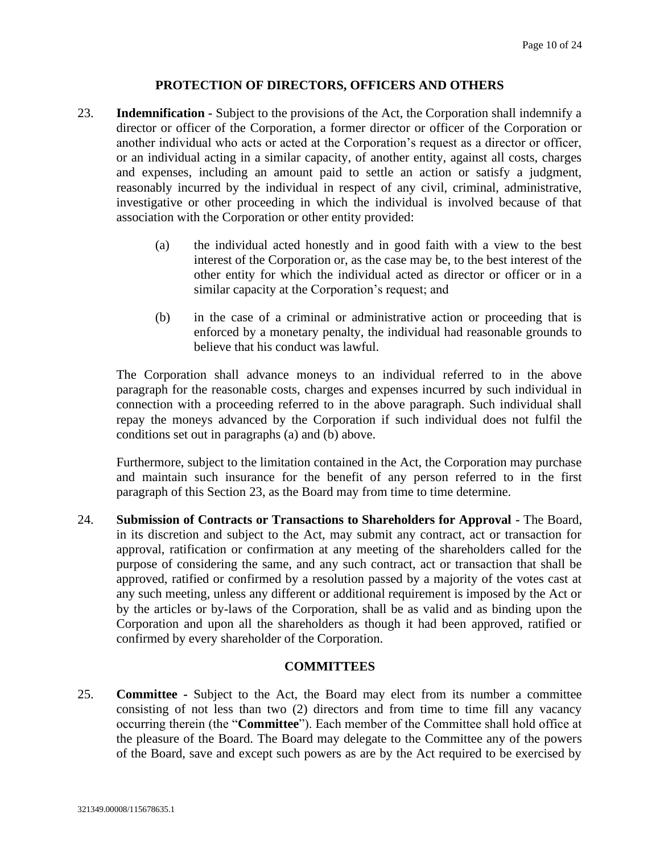## **PROTECTION OF DIRECTORS, OFFICERS AND OTHERS**

- <span id="page-9-0"></span>23. **Indemnification -** Subject to the provisions of the Act, the Corporation shall indemnify a director or officer of the Corporation, a former director or officer of the Corporation or another individual who acts or acted at the Corporation's request as a director or officer, or an individual acting in a similar capacity, of another entity, against all costs, charges and expenses, including an amount paid to settle an action or satisfy a judgment, reasonably incurred by the individual in respect of any civil, criminal, administrative, investigative or other proceeding in which the individual is involved because of that association with the Corporation or other entity provided:
	- (a) the individual acted honestly and in good faith with a view to the best interest of the Corporation or, as the case may be, to the best interest of the other entity for which the individual acted as director or officer or in a similar capacity at the Corporation's request; and
	- (b) in the case of a criminal or administrative action or proceeding that is enforced by a monetary penalty, the individual had reasonable grounds to believe that his conduct was lawful.

The Corporation shall advance moneys to an individual referred to in the above paragraph for the reasonable costs, charges and expenses incurred by such individual in connection with a proceeding referred to in the above paragraph. Such individual shall repay the moneys advanced by the Corporation if such individual does not fulfil the conditions set out in paragraphs (a) and (b) above.

Furthermore, subject to the limitation contained in the Act, the Corporation may purchase and maintain such insurance for the benefit of any person referred to in the first paragraph of this Section [23,](#page-9-0) as the Board may from time to time determine.

24. **Submission of Contracts or Transactions to Shareholders for Approval -** The Board, in its discretion and subject to the Act, may submit any contract, act or transaction for approval, ratification or confirmation at any meeting of the shareholders called for the purpose of considering the same, and any such contract, act or transaction that shall be approved, ratified or confirmed by a resolution passed by a majority of the votes cast at any such meeting, unless any different or additional requirement is imposed by the Act or by the articles or by-laws of the Corporation, shall be as valid and as binding upon the Corporation and upon all the shareholders as though it had been approved, ratified or confirmed by every shareholder of the Corporation.

## **COMMITTEES**

<span id="page-9-1"></span>25. **Committee -** Subject to the Act, the Board may elect from its number a committee consisting of not less than two (2) directors and from time to time fill any vacancy occurring therein (the "**Committee**"). Each member of the Committee shall hold office at the pleasure of the Board. The Board may delegate to the Committee any of the powers of the Board, save and except such powers as are by the Act required to be exercised by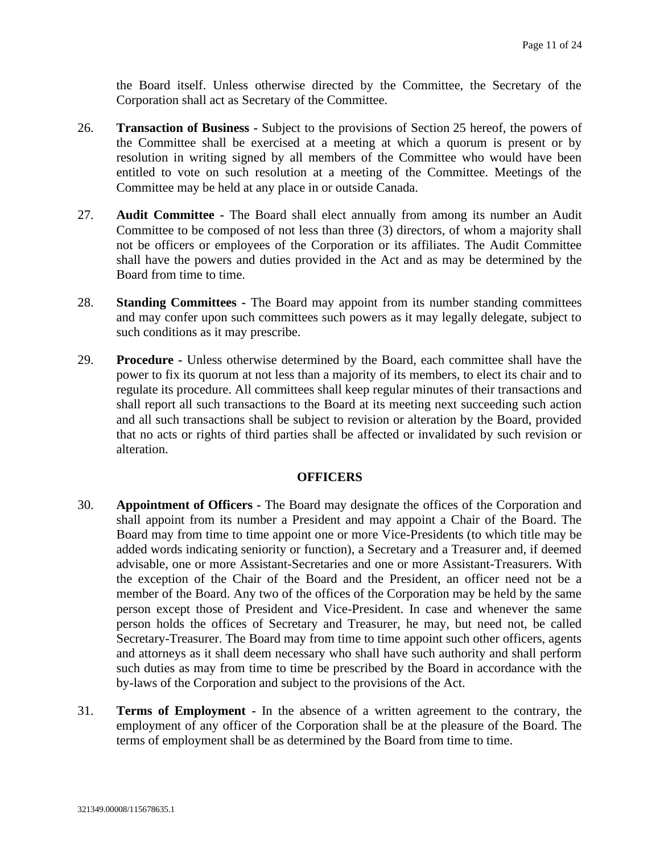the Board itself. Unless otherwise directed by the Committee, the Secretary of the Corporation shall act as Secretary of the Committee.

- 26. **Transaction of Business -** Subject to the provisions of Section [25](#page-9-1) hereof, the powers of the Committee shall be exercised at a meeting at which a quorum is present or by resolution in writing signed by all members of the Committee who would have been entitled to vote on such resolution at a meeting of the Committee. Meetings of the Committee may be held at any place in or outside Canada.
- 27. **Audit Committee -** The Board shall elect annually from among its number an Audit Committee to be composed of not less than three (3) directors, of whom a majority shall not be officers or employees of the Corporation or its affiliates. The Audit Committee shall have the powers and duties provided in the Act and as may be determined by the Board from time to time.
- 28. **Standing Committees -** The Board may appoint from its number standing committees and may confer upon such committees such powers as it may legally delegate, subject to such conditions as it may prescribe.
- 29. **Procedure -** Unless otherwise determined by the Board, each committee shall have the power to fix its quorum at not less than a majority of its members, to elect its chair and to regulate its procedure. All committees shall keep regular minutes of their transactions and shall report all such transactions to the Board at its meeting next succeeding such action and all such transactions shall be subject to revision or alteration by the Board, provided that no acts or rights of third parties shall be affected or invalidated by such revision or alteration.

#### **OFFICERS**

- 30. **Appointment of Officers -** The Board may designate the offices of the Corporation and shall appoint from its number a President and may appoint a Chair of the Board. The Board may from time to time appoint one or more Vice-Presidents (to which title may be added words indicating seniority or function), a Secretary and a Treasurer and, if deemed advisable, one or more Assistant-Secretaries and one or more Assistant-Treasurers. With the exception of the Chair of the Board and the President, an officer need not be a member of the Board. Any two of the offices of the Corporation may be held by the same person except those of President and Vice-President. In case and whenever the same person holds the offices of Secretary and Treasurer, he may, but need not, be called Secretary-Treasurer. The Board may from time to time appoint such other officers, agents and attorneys as it shall deem necessary who shall have such authority and shall perform such duties as may from time to time be prescribed by the Board in accordance with the by-laws of the Corporation and subject to the provisions of the Act.
- 31. **Terms of Employment -** In the absence of a written agreement to the contrary, the employment of any officer of the Corporation shall be at the pleasure of the Board. The terms of employment shall be as determined by the Board from time to time.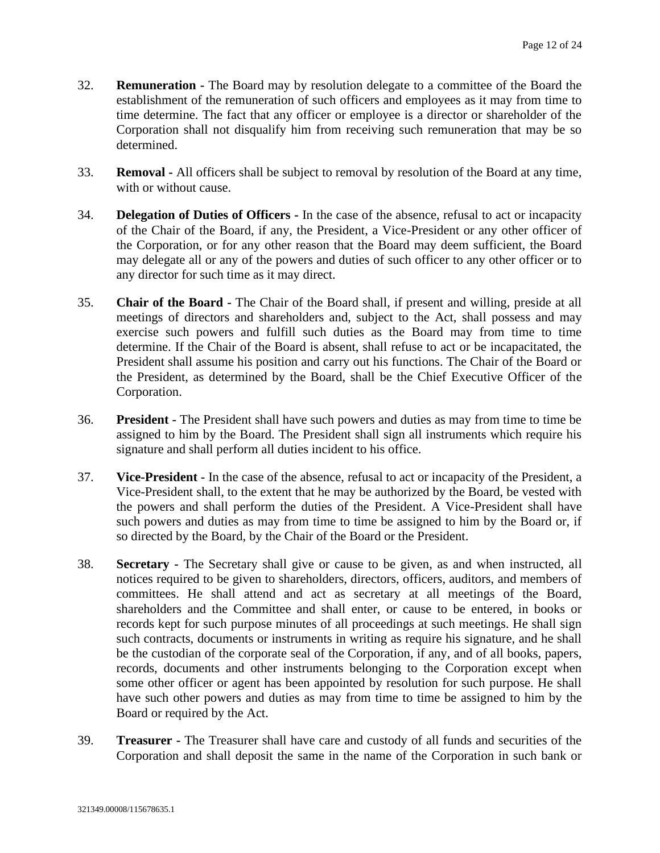- 32. **Remuneration -** The Board may by resolution delegate to a committee of the Board the establishment of the remuneration of such officers and employees as it may from time to time determine. The fact that any officer or employee is a director or shareholder of the Corporation shall not disqualify him from receiving such remuneration that may be so determined.
- 33. **Removal -** All officers shall be subject to removal by resolution of the Board at any time, with or without cause.
- 34. **Delegation of Duties of Officers -** In the case of the absence, refusal to act or incapacity of the Chair of the Board, if any, the President, a Vice-President or any other officer of the Corporation, or for any other reason that the Board may deem sufficient, the Board may delegate all or any of the powers and duties of such officer to any other officer or to any director for such time as it may direct.
- 35. **Chair of the Board -** The Chair of the Board shall, if present and willing, preside at all meetings of directors and shareholders and, subject to the Act, shall possess and may exercise such powers and fulfill such duties as the Board may from time to time determine. If the Chair of the Board is absent, shall refuse to act or be incapacitated, the President shall assume his position and carry out his functions. The Chair of the Board or the President, as determined by the Board, shall be the Chief Executive Officer of the Corporation.
- 36. **President -** The President shall have such powers and duties as may from time to time be assigned to him by the Board. The President shall sign all instruments which require his signature and shall perform all duties incident to his office.
- 37. **Vice-President -** In the case of the absence, refusal to act or incapacity of the President, a Vice-President shall, to the extent that he may be authorized by the Board, be vested with the powers and shall perform the duties of the President. A Vice-President shall have such powers and duties as may from time to time be assigned to him by the Board or, if so directed by the Board, by the Chair of the Board or the President.
- 38. **Secretary -** The Secretary shall give or cause to be given, as and when instructed, all notices required to be given to shareholders, directors, officers, auditors, and members of committees. He shall attend and act as secretary at all meetings of the Board, shareholders and the Committee and shall enter, or cause to be entered, in books or records kept for such purpose minutes of all proceedings at such meetings. He shall sign such contracts, documents or instruments in writing as require his signature, and he shall be the custodian of the corporate seal of the Corporation, if any, and of all books, papers, records, documents and other instruments belonging to the Corporation except when some other officer or agent has been appointed by resolution for such purpose. He shall have such other powers and duties as may from time to time be assigned to him by the Board or required by the Act.
- 39. **Treasurer -** The Treasurer shall have care and custody of all funds and securities of the Corporation and shall deposit the same in the name of the Corporation in such bank or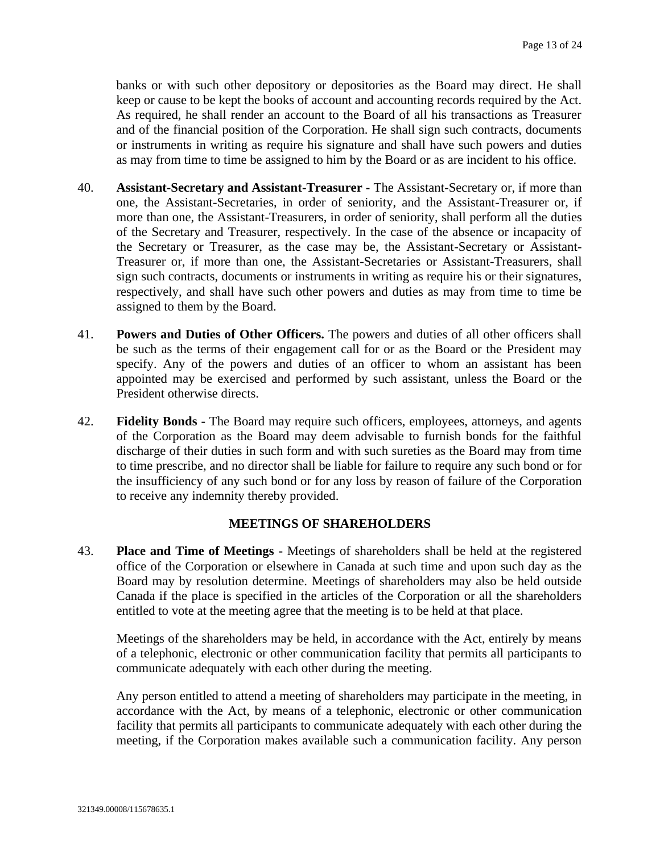banks or with such other depository or depositories as the Board may direct. He shall keep or cause to be kept the books of account and accounting records required by the Act. As required, he shall render an account to the Board of all his transactions as Treasurer and of the financial position of the Corporation. He shall sign such contracts, documents or instruments in writing as require his signature and shall have such powers and duties as may from time to time be assigned to him by the Board or as are incident to his office.

- 40. **Assistant-Secretary and Assistant-Treasurer -** The Assistant-Secretary or, if more than one, the Assistant-Secretaries, in order of seniority, and the Assistant-Treasurer or, if more than one, the Assistant-Treasurers, in order of seniority, shall perform all the duties of the Secretary and Treasurer, respectively. In the case of the absence or incapacity of the Secretary or Treasurer, as the case may be, the Assistant-Secretary or Assistant-Treasurer or, if more than one, the Assistant-Secretaries or Assistant-Treasurers, shall sign such contracts, documents or instruments in writing as require his or their signatures, respectively, and shall have such other powers and duties as may from time to time be assigned to them by the Board.
- 41. **Powers and Duties of Other Officers.** The powers and duties of all other officers shall be such as the terms of their engagement call for or as the Board or the President may specify. Any of the powers and duties of an officer to whom an assistant has been appointed may be exercised and performed by such assistant, unless the Board or the President otherwise directs.
- 42. **Fidelity Bonds -** The Board may require such officers, employees, attorneys, and agents of the Corporation as the Board may deem advisable to furnish bonds for the faithful discharge of their duties in such form and with such sureties as the Board may from time to time prescribe, and no director shall be liable for failure to require any such bond or for the insufficiency of any such bond or for any loss by reason of failure of the Corporation to receive any indemnity thereby provided.

#### **MEETINGS OF SHAREHOLDERS**

43. **Place and Time of Meetings -** Meetings of shareholders shall be held at the registered office of the Corporation or elsewhere in Canada at such time and upon such day as the Board may by resolution determine. Meetings of shareholders may also be held outside Canada if the place is specified in the articles of the Corporation or all the shareholders entitled to vote at the meeting agree that the meeting is to be held at that place.

Meetings of the shareholders may be held, in accordance with the Act, entirely by means of a telephonic, electronic or other communication facility that permits all participants to communicate adequately with each other during the meeting.

Any person entitled to attend a meeting of shareholders may participate in the meeting, in accordance with the Act, by means of a telephonic, electronic or other communication facility that permits all participants to communicate adequately with each other during the meeting, if the Corporation makes available such a communication facility. Any person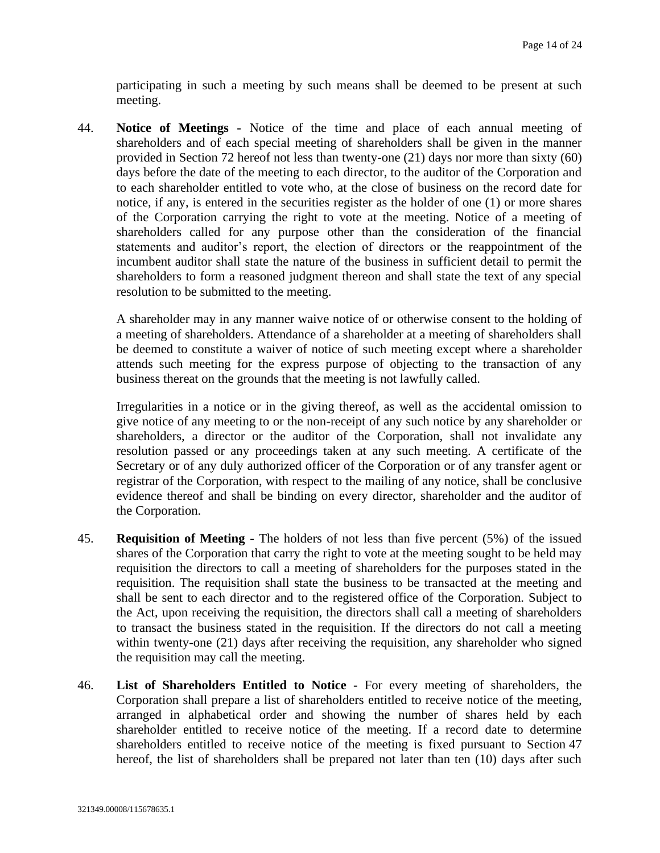participating in such a meeting by such means shall be deemed to be present at such meeting.

44. **Notice of Meetings -** Notice of the time and place of each annual meeting of shareholders and of each special meeting of shareholders shall be given in the manner provided in Section [72](#page-20-0) hereof not less than twenty-one (21) days nor more than sixty (60) days before the date of the meeting to each director, to the auditor of the Corporation and to each shareholder entitled to vote who, at the close of business on the record date for notice, if any, is entered in the securities register as the holder of one (1) or more shares of the Corporation carrying the right to vote at the meeting. Notice of a meeting of shareholders called for any purpose other than the consideration of the financial statements and auditor's report, the election of directors or the reappointment of the incumbent auditor shall state the nature of the business in sufficient detail to permit the shareholders to form a reasoned judgment thereon and shall state the text of any special resolution to be submitted to the meeting.

A shareholder may in any manner waive notice of or otherwise consent to the holding of a meeting of shareholders. Attendance of a shareholder at a meeting of shareholders shall be deemed to constitute a waiver of notice of such meeting except where a shareholder attends such meeting for the express purpose of objecting to the transaction of any business thereat on the grounds that the meeting is not lawfully called.

Irregularities in a notice or in the giving thereof, as well as the accidental omission to give notice of any meeting to or the non-receipt of any such notice by any shareholder or shareholders, a director or the auditor of the Corporation, shall not invalidate any resolution passed or any proceedings taken at any such meeting. A certificate of the Secretary or of any duly authorized officer of the Corporation or of any transfer agent or registrar of the Corporation, with respect to the mailing of any notice, shall be conclusive evidence thereof and shall be binding on every director, shareholder and the auditor of the Corporation.

- 45. **Requisition of Meeting -** The holders of not less than five percent (5%) of the issued shares of the Corporation that carry the right to vote at the meeting sought to be held may requisition the directors to call a meeting of shareholders for the purposes stated in the requisition. The requisition shall state the business to be transacted at the meeting and shall be sent to each director and to the registered office of the Corporation. Subject to the Act, upon receiving the requisition, the directors shall call a meeting of shareholders to transact the business stated in the requisition. If the directors do not call a meeting within twenty-one (21) days after receiving the requisition, any shareholder who signed the requisition may call the meeting.
- 46. **List of Shareholders Entitled to Notice -** For every meeting of shareholders, the Corporation shall prepare a list of shareholders entitled to receive notice of the meeting, arranged in alphabetical order and showing the number of shares held by each shareholder entitled to receive notice of the meeting. If a record date to determine shareholders entitled to receive notice of the meeting is fixed pursuant to Section [47](#page-14-0) hereof, the list of shareholders shall be prepared not later than ten (10) days after such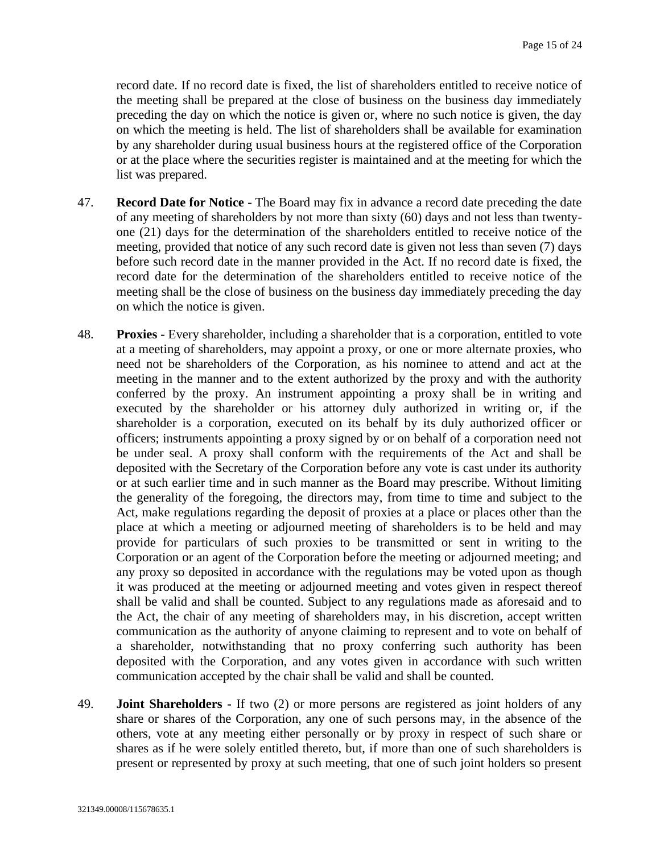record date. If no record date is fixed, the list of shareholders entitled to receive notice of the meeting shall be prepared at the close of business on the business day immediately preceding the day on which the notice is given or, where no such notice is given, the day on which the meeting is held. The list of shareholders shall be available for examination by any shareholder during usual business hours at the registered office of the Corporation or at the place where the securities register is maintained and at the meeting for which the list was prepared.

- <span id="page-14-0"></span>47. **Record Date for Notice -** The Board may fix in advance a record date preceding the date of any meeting of shareholders by not more than sixty (60) days and not less than twentyone (21) days for the determination of the shareholders entitled to receive notice of the meeting, provided that notice of any such record date is given not less than seven (7) days before such record date in the manner provided in the Act. If no record date is fixed, the record date for the determination of the shareholders entitled to receive notice of the meeting shall be the close of business on the business day immediately preceding the day on which the notice is given.
- 48. **Proxies -** Every shareholder, including a shareholder that is a corporation, entitled to vote at a meeting of shareholders, may appoint a proxy, or one or more alternate proxies, who need not be shareholders of the Corporation, as his nominee to attend and act at the meeting in the manner and to the extent authorized by the proxy and with the authority conferred by the proxy. An instrument appointing a proxy shall be in writing and executed by the shareholder or his attorney duly authorized in writing or, if the shareholder is a corporation, executed on its behalf by its duly authorized officer or officers; instruments appointing a proxy signed by or on behalf of a corporation need not be under seal. A proxy shall conform with the requirements of the Act and shall be deposited with the Secretary of the Corporation before any vote is cast under its authority or at such earlier time and in such manner as the Board may prescribe. Without limiting the generality of the foregoing, the directors may, from time to time and subject to the Act, make regulations regarding the deposit of proxies at a place or places other than the place at which a meeting or adjourned meeting of shareholders is to be held and may provide for particulars of such proxies to be transmitted or sent in writing to the Corporation or an agent of the Corporation before the meeting or adjourned meeting; and any proxy so deposited in accordance with the regulations may be voted upon as though it was produced at the meeting or adjourned meeting and votes given in respect thereof shall be valid and shall be counted. Subject to any regulations made as aforesaid and to the Act, the chair of any meeting of shareholders may, in his discretion, accept written communication as the authority of anyone claiming to represent and to vote on behalf of a shareholder, notwithstanding that no proxy conferring such authority has been deposited with the Corporation, and any votes given in accordance with such written communication accepted by the chair shall be valid and shall be counted.
- <span id="page-14-1"></span>49. **Joint Shareholders -** If two (2) or more persons are registered as joint holders of any share or shares of the Corporation, any one of such persons may, in the absence of the others, vote at any meeting either personally or by proxy in respect of such share or shares as if he were solely entitled thereto, but, if more than one of such shareholders is present or represented by proxy at such meeting, that one of such joint holders so present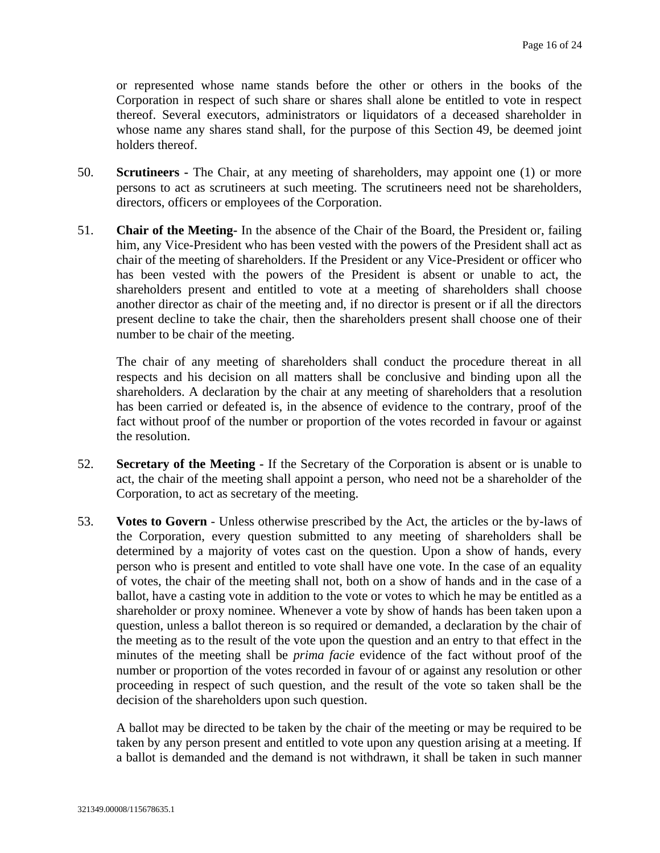or represented whose name stands before the other or others in the books of the Corporation in respect of such share or shares shall alone be entitled to vote in respect thereof. Several executors, administrators or liquidators of a deceased shareholder in whose name any shares stand shall, for the purpose of this Section [49,](#page-14-1) be deemed joint holders thereof.

- 50. **Scrutineers -** The Chair, at any meeting of shareholders, may appoint one (1) or more persons to act as scrutineers at such meeting. The scrutineers need not be shareholders, directors, officers or employees of the Corporation.
- 51. **Chair of the Meeting-** In the absence of the Chair of the Board, the President or, failing him, any Vice-President who has been vested with the powers of the President shall act as chair of the meeting of shareholders. If the President or any Vice-President or officer who has been vested with the powers of the President is absent or unable to act, the shareholders present and entitled to vote at a meeting of shareholders shall choose another director as chair of the meeting and, if no director is present or if all the directors present decline to take the chair, then the shareholders present shall choose one of their number to be chair of the meeting.

The chair of any meeting of shareholders shall conduct the procedure thereat in all respects and his decision on all matters shall be conclusive and binding upon all the shareholders. A declaration by the chair at any meeting of shareholders that a resolution has been carried or defeated is, in the absence of evidence to the contrary, proof of the fact without proof of the number or proportion of the votes recorded in favour or against the resolution.

- <span id="page-15-0"></span>52. **Secretary of the Meeting -** If the Secretary of the Corporation is absent or is unable to act, the chair of the meeting shall appoint a person, who need not be a shareholder of the Corporation, to act as secretary of the meeting.
- 53. **Votes to Govern** Unless otherwise prescribed by the Act, the articles or the by-laws of the Corporation, every question submitted to any meeting of shareholders shall be determined by a majority of votes cast on the question. Upon a show of hands, every person who is present and entitled to vote shall have one vote. In the case of an equality of votes, the chair of the meeting shall not, both on a show of hands and in the case of a ballot, have a casting vote in addition to the vote or votes to which he may be entitled as a shareholder or proxy nominee. Whenever a vote by show of hands has been taken upon a question, unless a ballot thereon is so required or demanded, a declaration by the chair of the meeting as to the result of the vote upon the question and an entry to that effect in the minutes of the meeting shall be *prima facie* evidence of the fact without proof of the number or proportion of the votes recorded in favour of or against any resolution or other proceeding in respect of such question, and the result of the vote so taken shall be the decision of the shareholders upon such question.

A ballot may be directed to be taken by the chair of the meeting or may be required to be taken by any person present and entitled to vote upon any question arising at a meeting. If a ballot is demanded and the demand is not withdrawn, it shall be taken in such manner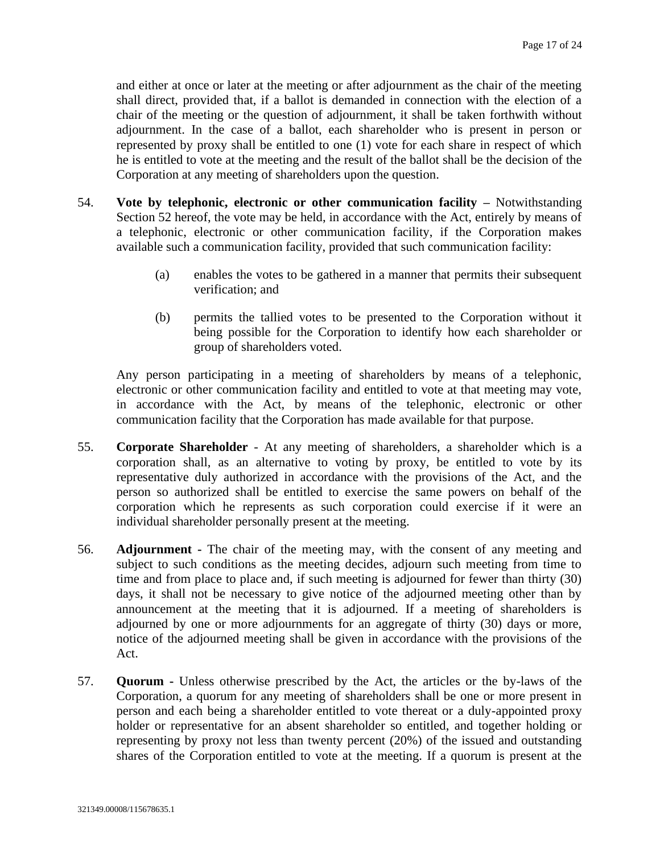and either at once or later at the meeting or after adjournment as the chair of the meeting shall direct, provided that, if a ballot is demanded in connection with the election of a chair of the meeting or the question of adjournment, it shall be taken forthwith without adjournment. In the case of a ballot, each shareholder who is present in person or represented by proxy shall be entitled to one (1) vote for each share in respect of which he is entitled to vote at the meeting and the result of the ballot shall be the decision of the Corporation at any meeting of shareholders upon the question.

- 54. **Vote by telephonic, electronic or other communication facility –** Notwithstanding Section [52](#page-15-0) hereof, the vote may be held, in accordance with the Act, entirely by means of a telephonic, electronic or other communication facility, if the Corporation makes available such a communication facility, provided that such communication facility:
	- (a) enables the votes to be gathered in a manner that permits their subsequent verification; and
	- (b) permits the tallied votes to be presented to the Corporation without it being possible for the Corporation to identify how each shareholder or group of shareholders voted.

Any person participating in a meeting of shareholders by means of a telephonic, electronic or other communication facility and entitled to vote at that meeting may vote, in accordance with the Act, by means of the telephonic, electronic or other communication facility that the Corporation has made available for that purpose.

- 55. **Corporate Shareholder** At any meeting of shareholders, a shareholder which is a corporation shall, as an alternative to voting by proxy, be entitled to vote by its representative duly authorized in accordance with the provisions of the Act, and the person so authorized shall be entitled to exercise the same powers on behalf of the corporation which he represents as such corporation could exercise if it were an individual shareholder personally present at the meeting.
- 56. **Adjournment -** The chair of the meeting may, with the consent of any meeting and subject to such conditions as the meeting decides, adjourn such meeting from time to time and from place to place and, if such meeting is adjourned for fewer than thirty (30) days, it shall not be necessary to give notice of the adjourned meeting other than by announcement at the meeting that it is adjourned. If a meeting of shareholders is adjourned by one or more adjournments for an aggregate of thirty (30) days or more, notice of the adjourned meeting shall be given in accordance with the provisions of the Act.
- 57. **Quorum -** Unless otherwise prescribed by the Act, the articles or the by-laws of the Corporation, a quorum for any meeting of shareholders shall be one or more present in person and each being a shareholder entitled to vote thereat or a duly-appointed proxy holder or representative for an absent shareholder so entitled, and together holding or representing by proxy not less than twenty percent (20%) of the issued and outstanding shares of the Corporation entitled to vote at the meeting. If a quorum is present at the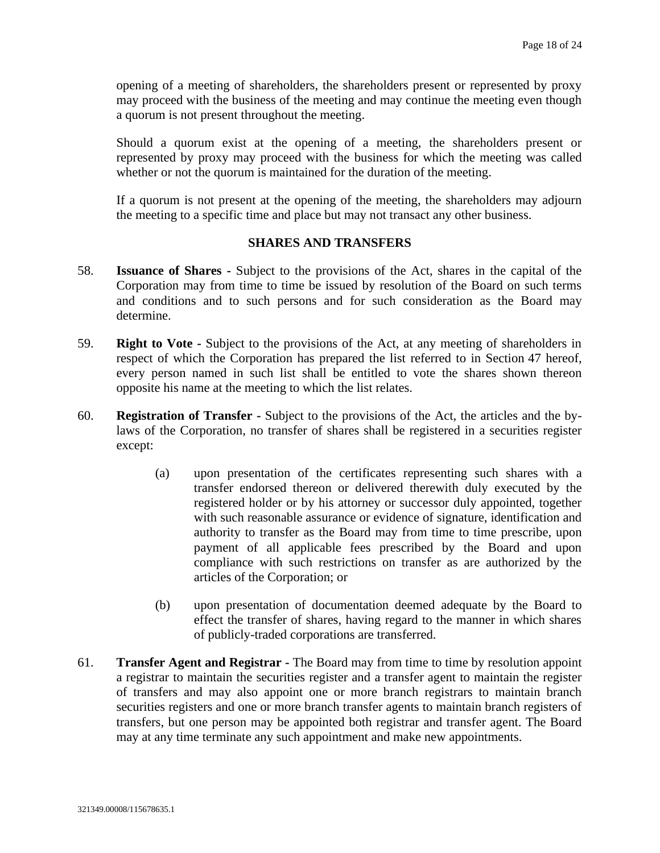opening of a meeting of shareholders, the shareholders present or represented by proxy may proceed with the business of the meeting and may continue the meeting even though a quorum is not present throughout the meeting.

Should a quorum exist at the opening of a meeting, the shareholders present or represented by proxy may proceed with the business for which the meeting was called whether or not the quorum is maintained for the duration of the meeting.

If a quorum is not present at the opening of the meeting, the shareholders may adjourn the meeting to a specific time and place but may not transact any other business.

### **SHARES AND TRANSFERS**

- 58. **Issuance of Shares -** Subject to the provisions of the Act, shares in the capital of the Corporation may from time to time be issued by resolution of the Board on such terms and conditions and to such persons and for such consideration as the Board may determine.
- 59. **Right to Vote -** Subject to the provisions of the Act, at any meeting of shareholders in respect of which the Corporation has prepared the list referred to in Section [47](#page-14-0) hereof, every person named in such list shall be entitled to vote the shares shown thereon opposite his name at the meeting to which the list relates.
- 60. **Registration of Transfer -** Subject to the provisions of the Act, the articles and the bylaws of the Corporation, no transfer of shares shall be registered in a securities register except:
	- (a) upon presentation of the certificates representing such shares with a transfer endorsed thereon or delivered therewith duly executed by the registered holder or by his attorney or successor duly appointed, together with such reasonable assurance or evidence of signature, identification and authority to transfer as the Board may from time to time prescribe, upon payment of all applicable fees prescribed by the Board and upon compliance with such restrictions on transfer as are authorized by the articles of the Corporation; or
	- (b) upon presentation of documentation deemed adequate by the Board to effect the transfer of shares, having regard to the manner in which shares of publicly-traded corporations are transferred.
- 61. **Transfer Agent and Registrar -** The Board may from time to time by resolution appoint a registrar to maintain the securities register and a transfer agent to maintain the register of transfers and may also appoint one or more branch registrars to maintain branch securities registers and one or more branch transfer agents to maintain branch registers of transfers, but one person may be appointed both registrar and transfer agent. The Board may at any time terminate any such appointment and make new appointments.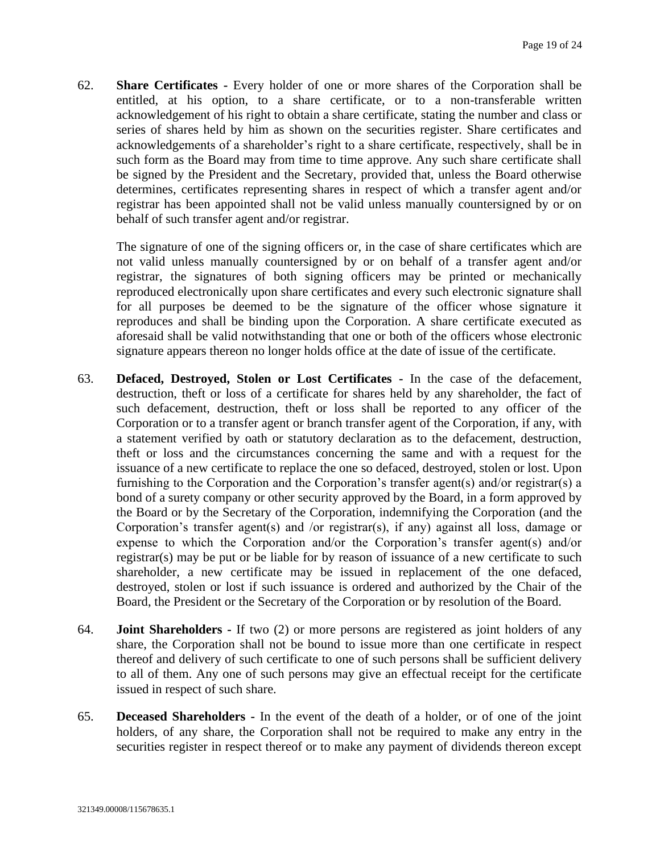62. **Share Certificates -** Every holder of one or more shares of the Corporation shall be entitled, at his option, to a share certificate, or to a non-transferable written acknowledgement of his right to obtain a share certificate, stating the number and class or series of shares held by him as shown on the securities register. Share certificates and acknowledgements of a shareholder's right to a share certificate, respectively, shall be in such form as the Board may from time to time approve. Any such share certificate shall be signed by the President and the Secretary, provided that, unless the Board otherwise determines, certificates representing shares in respect of which a transfer agent and/or registrar has been appointed shall not be valid unless manually countersigned by or on behalf of such transfer agent and/or registrar.

The signature of one of the signing officers or, in the case of share certificates which are not valid unless manually countersigned by or on behalf of a transfer agent and/or registrar, the signatures of both signing officers may be printed or mechanically reproduced electronically upon share certificates and every such electronic signature shall for all purposes be deemed to be the signature of the officer whose signature it reproduces and shall be binding upon the Corporation. A share certificate executed as aforesaid shall be valid notwithstanding that one or both of the officers whose electronic signature appears thereon no longer holds office at the date of issue of the certificate.

- 63. **Defaced, Destroyed, Stolen or Lost Certificates -** In the case of the defacement, destruction, theft or loss of a certificate for shares held by any shareholder, the fact of such defacement, destruction, theft or loss shall be reported to any officer of the Corporation or to a transfer agent or branch transfer agent of the Corporation, if any, with a statement verified by oath or statutory declaration as to the defacement, destruction, theft or loss and the circumstances concerning the same and with a request for the issuance of a new certificate to replace the one so defaced, destroyed, stolen or lost. Upon furnishing to the Corporation and the Corporation's transfer agent(s) and/or registrar(s) a bond of a surety company or other security approved by the Board, in a form approved by the Board or by the Secretary of the Corporation, indemnifying the Corporation (and the Corporation's transfer agent(s) and /or registrar(s), if any) against all loss, damage or expense to which the Corporation and/or the Corporation's transfer agent(s) and/or registrar(s) may be put or be liable for by reason of issuance of a new certificate to such shareholder, a new certificate may be issued in replacement of the one defaced, destroyed, stolen or lost if such issuance is ordered and authorized by the Chair of the Board, the President or the Secretary of the Corporation or by resolution of the Board.
- 64. **Joint Shareholders -** If two (2) or more persons are registered as joint holders of any share, the Corporation shall not be bound to issue more than one certificate in respect thereof and delivery of such certificate to one of such persons shall be sufficient delivery to all of them. Any one of such persons may give an effectual receipt for the certificate issued in respect of such share.
- 65. **Deceased Shareholders -** In the event of the death of a holder, or of one of the joint holders, of any share, the Corporation shall not be required to make any entry in the securities register in respect thereof or to make any payment of dividends thereon except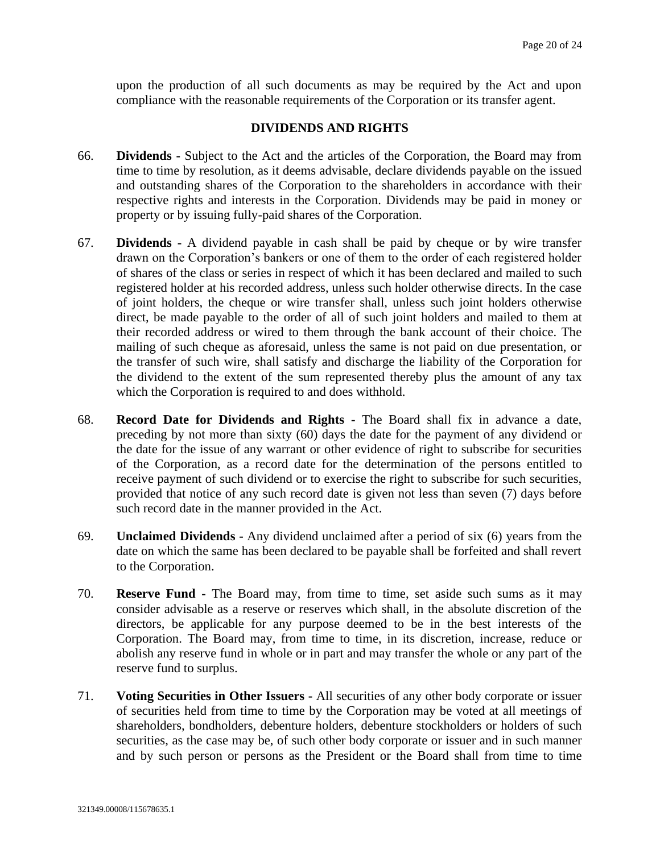upon the production of all such documents as may be required by the Act and upon compliance with the reasonable requirements of the Corporation or its transfer agent.

#### **DIVIDENDS AND RIGHTS**

- 66. **Dividends -** Subject to the Act and the articles of the Corporation, the Board may from time to time by resolution, as it deems advisable, declare dividends payable on the issued and outstanding shares of the Corporation to the shareholders in accordance with their respective rights and interests in the Corporation. Dividends may be paid in money or property or by issuing fully-paid shares of the Corporation.
- 67. **Dividends -** A dividend payable in cash shall be paid by cheque or by wire transfer drawn on the Corporation's bankers or one of them to the order of each registered holder of shares of the class or series in respect of which it has been declared and mailed to such registered holder at his recorded address, unless such holder otherwise directs. In the case of joint holders, the cheque or wire transfer shall, unless such joint holders otherwise direct, be made payable to the order of all of such joint holders and mailed to them at their recorded address or wired to them through the bank account of their choice. The mailing of such cheque as aforesaid, unless the same is not paid on due presentation, or the transfer of such wire, shall satisfy and discharge the liability of the Corporation for the dividend to the extent of the sum represented thereby plus the amount of any tax which the Corporation is required to and does withhold.
- 68. **Record Date for Dividends and Rights -** The Board shall fix in advance a date, preceding by not more than sixty (60) days the date for the payment of any dividend or the date for the issue of any warrant or other evidence of right to subscribe for securities of the Corporation, as a record date for the determination of the persons entitled to receive payment of such dividend or to exercise the right to subscribe for such securities, provided that notice of any such record date is given not less than seven (7) days before such record date in the manner provided in the Act.
- 69. **Unclaimed Dividends -** Any dividend unclaimed after a period of six (6) years from the date on which the same has been declared to be payable shall be forfeited and shall revert to the Corporation.
- 70. **Reserve Fund -** The Board may, from time to time, set aside such sums as it may consider advisable as a reserve or reserves which shall, in the absolute discretion of the directors, be applicable for any purpose deemed to be in the best interests of the Corporation. The Board may, from time to time, in its discretion, increase, reduce or abolish any reserve fund in whole or in part and may transfer the whole or any part of the reserve fund to surplus.
- 71. **Voting Securities in Other Issuers -** All securities of any other body corporate or issuer of securities held from time to time by the Corporation may be voted at all meetings of shareholders, bondholders, debenture holders, debenture stockholders or holders of such securities, as the case may be, of such other body corporate or issuer and in such manner and by such person or persons as the President or the Board shall from time to time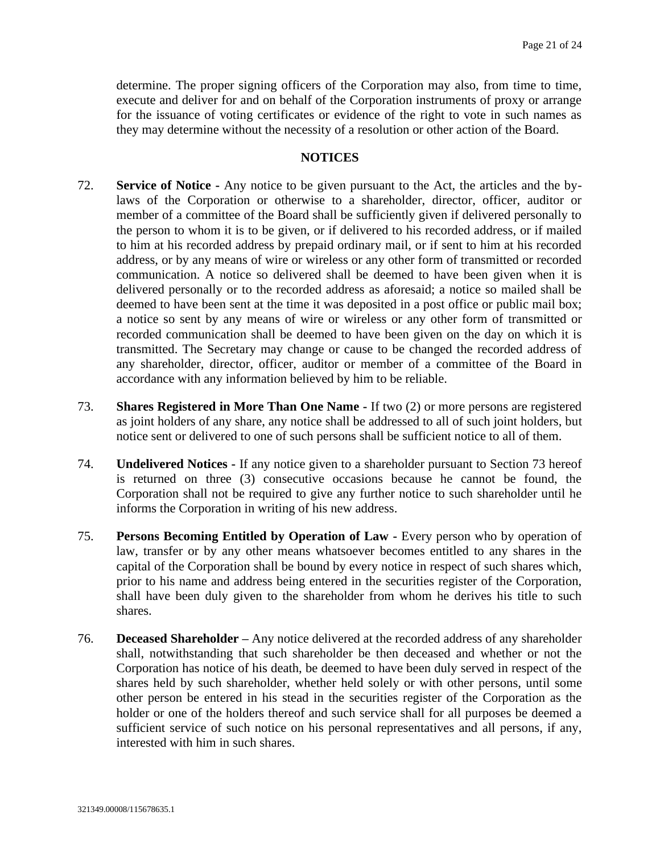determine. The proper signing officers of the Corporation may also, from time to time, execute and deliver for and on behalf of the Corporation instruments of proxy or arrange for the issuance of voting certificates or evidence of the right to vote in such names as they may determine without the necessity of a resolution or other action of the Board.

#### **NOTICES**

- <span id="page-20-0"></span>72. **Service of Notice -** Any notice to be given pursuant to the Act, the articles and the bylaws of the Corporation or otherwise to a shareholder, director, officer, auditor or member of a committee of the Board shall be sufficiently given if delivered personally to the person to whom it is to be given, or if delivered to his recorded address, or if mailed to him at his recorded address by prepaid ordinary mail, or if sent to him at his recorded address, or by any means of wire or wireless or any other form of transmitted or recorded communication. A notice so delivered shall be deemed to have been given when it is delivered personally or to the recorded address as aforesaid; a notice so mailed shall be deemed to have been sent at the time it was deposited in a post office or public mail box; a notice so sent by any means of wire or wireless or any other form of transmitted or recorded communication shall be deemed to have been given on the day on which it is transmitted. The Secretary may change or cause to be changed the recorded address of any shareholder, director, officer, auditor or member of a committee of the Board in accordance with any information believed by him to be reliable.
- <span id="page-20-1"></span>73. **Shares Registered in More Than One Name -** If two (2) or more persons are registered as joint holders of any share, any notice shall be addressed to all of such joint holders, but notice sent or delivered to one of such persons shall be sufficient notice to all of them.
- 74. **Undelivered Notices -** If any notice given to a shareholder pursuant to Section [73](#page-20-1) hereof is returned on three (3) consecutive occasions because he cannot be found, the Corporation shall not be required to give any further notice to such shareholder until he informs the Corporation in writing of his new address.
- 75. **Persons Becoming Entitled by Operation of Law -** Every person who by operation of law, transfer or by any other means whatsoever becomes entitled to any shares in the capital of the Corporation shall be bound by every notice in respect of such shares which, prior to his name and address being entered in the securities register of the Corporation, shall have been duly given to the shareholder from whom he derives his title to such shares.
- 76. **Deceased Shareholder –** Any notice delivered at the recorded address of any shareholder shall, notwithstanding that such shareholder be then deceased and whether or not the Corporation has notice of his death, be deemed to have been duly served in respect of the shares held by such shareholder, whether held solely or with other persons, until some other person be entered in his stead in the securities register of the Corporation as the holder or one of the holders thereof and such service shall for all purposes be deemed a sufficient service of such notice on his personal representatives and all persons, if any, interested with him in such shares.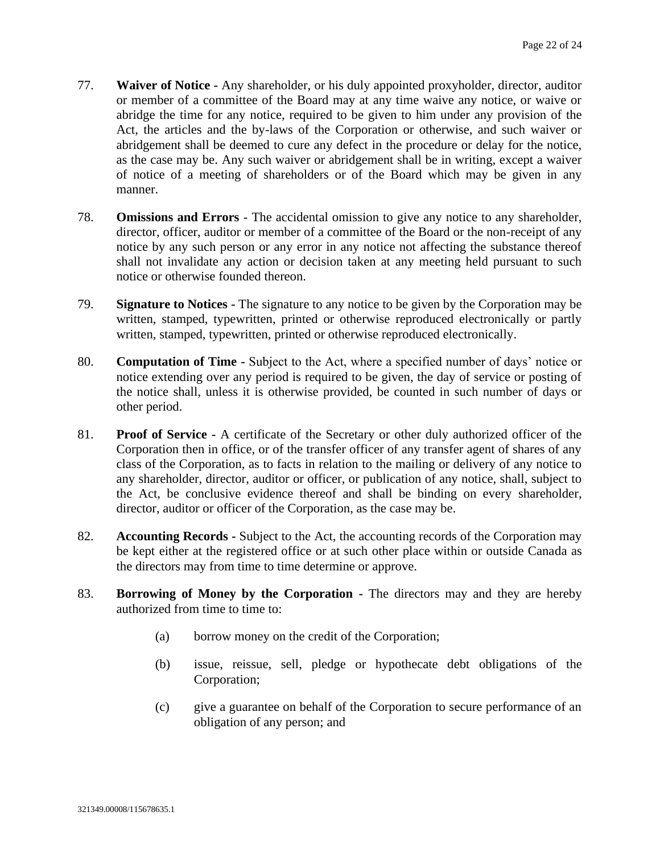- 77. **Waiver of Notice -** Any shareholder, or his duly appointed proxyholder, director, auditor or member of a committee of the Board may at any time waive any notice, or waive or abridge the time for any notice, required to be given to him under any provision of the Act, the articles and the by-laws of the Corporation or otherwise, and such waiver or abridgement shall be deemed to cure any defect in the procedure or delay for the notice, as the case may be. Any such waiver or abridgement shall be in writing, except a waiver of notice of a meeting of shareholders or of the Board which may be given in any manner.
- 78. **Omissions and Errors** The accidental omission to give any notice to any shareholder, director, officer, auditor or member of a committee of the Board or the non-receipt of any notice by any such person or any error in any notice not affecting the substance thereof shall not invalidate any action or decision taken at any meeting held pursuant to such notice or otherwise founded thereon.
- 79. **Signature to Notices -** The signature to any notice to be given by the Corporation may be written, stamped, typewritten, printed or otherwise reproduced electronically or partly written, stamped, typewritten, printed or otherwise reproduced electronically.
- 80. **Computation of Time -** Subject to the Act, where a specified number of days' notice or notice extending over any period is required to be given, the day of service or posting of the notice shall, unless it is otherwise provided, be counted in such number of days or other period.
- 81. **Proof of Service -** A certificate of the Secretary or other duly authorized officer of the Corporation then in office, or of the transfer officer of any transfer agent of shares of any class of the Corporation, as to facts in relation to the mailing or delivery of any notice to any shareholder, director, auditor or officer, or publication of any notice, shall, subject to the Act, be conclusive evidence thereof and shall be binding on every shareholder, director, auditor or officer of the Corporation, as the case may be.
- 82. **Accounting Records -** Subject to the Act, the accounting records of the Corporation may be kept either at the registered office or at such other place within or outside Canada as the directors may from time to time determine or approve.
- 83. **Borrowing of Money by the Corporation -** The directors may and they are hereby authorized from time to time to:
	- (a) borrow money on the credit of the Corporation;
	- (b) issue, reissue, sell, pledge or hypothecate debt obligations of the Corporation;
	- (c) give a guarantee on behalf of the Corporation to secure performance of an obligation of any person; and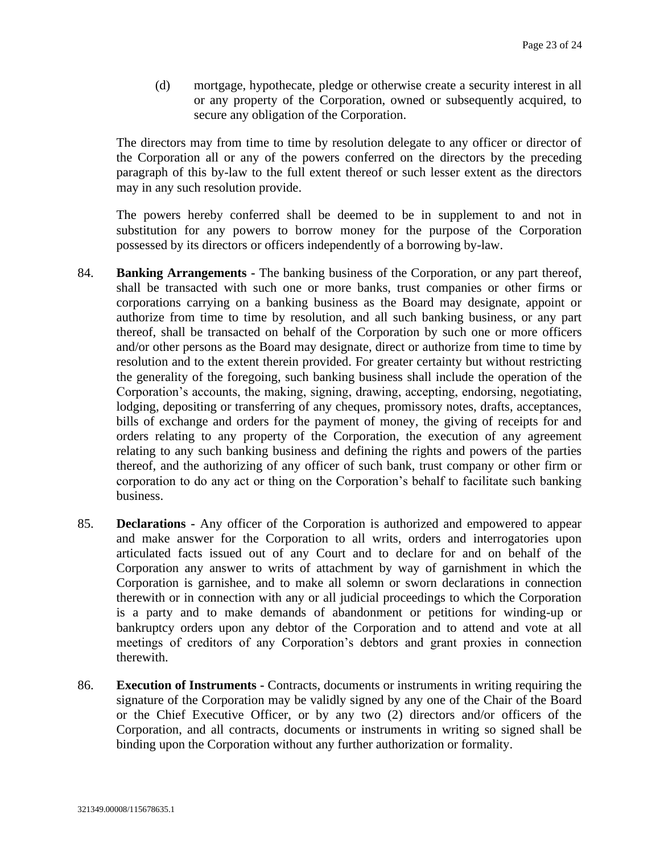(d) mortgage, hypothecate, pledge or otherwise create a security interest in all or any property of the Corporation, owned or subsequently acquired, to secure any obligation of the Corporation.

The directors may from time to time by resolution delegate to any officer or director of the Corporation all or any of the powers conferred on the directors by the preceding paragraph of this by-law to the full extent thereof or such lesser extent as the directors may in any such resolution provide.

The powers hereby conferred shall be deemed to be in supplement to and not in substitution for any powers to borrow money for the purpose of the Corporation possessed by its directors or officers independently of a borrowing by-law.

- 84. **Banking Arrangements -** The banking business of the Corporation, or any part thereof, shall be transacted with such one or more banks, trust companies or other firms or corporations carrying on a banking business as the Board may designate, appoint or authorize from time to time by resolution, and all such banking business, or any part thereof, shall be transacted on behalf of the Corporation by such one or more officers and/or other persons as the Board may designate, direct or authorize from time to time by resolution and to the extent therein provided. For greater certainty but without restricting the generality of the foregoing, such banking business shall include the operation of the Corporation's accounts, the making, signing, drawing, accepting, endorsing, negotiating, lodging, depositing or transferring of any cheques, promissory notes, drafts, acceptances, bills of exchange and orders for the payment of money, the giving of receipts for and orders relating to any property of the Corporation, the execution of any agreement relating to any such banking business and defining the rights and powers of the parties thereof, and the authorizing of any officer of such bank, trust company or other firm or corporation to do any act or thing on the Corporation's behalf to facilitate such banking business.
- 85. **Declarations -** Any officer of the Corporation is authorized and empowered to appear and make answer for the Corporation to all writs, orders and interrogatories upon articulated facts issued out of any Court and to declare for and on behalf of the Corporation any answer to writs of attachment by way of garnishment in which the Corporation is garnishee, and to make all solemn or sworn declarations in connection therewith or in connection with any or all judicial proceedings to which the Corporation is a party and to make demands of abandonment or petitions for winding-up or bankruptcy orders upon any debtor of the Corporation and to attend and vote at all meetings of creditors of any Corporation's debtors and grant proxies in connection therewith.
- 86. **Execution of Instruments -** Contracts, documents or instruments in writing requiring the signature of the Corporation may be validly signed by any one of the Chair of the Board or the Chief Executive Officer, or by any two (2) directors and/or officers of the Corporation, and all contracts, documents or instruments in writing so signed shall be binding upon the Corporation without any further authorization or formality.